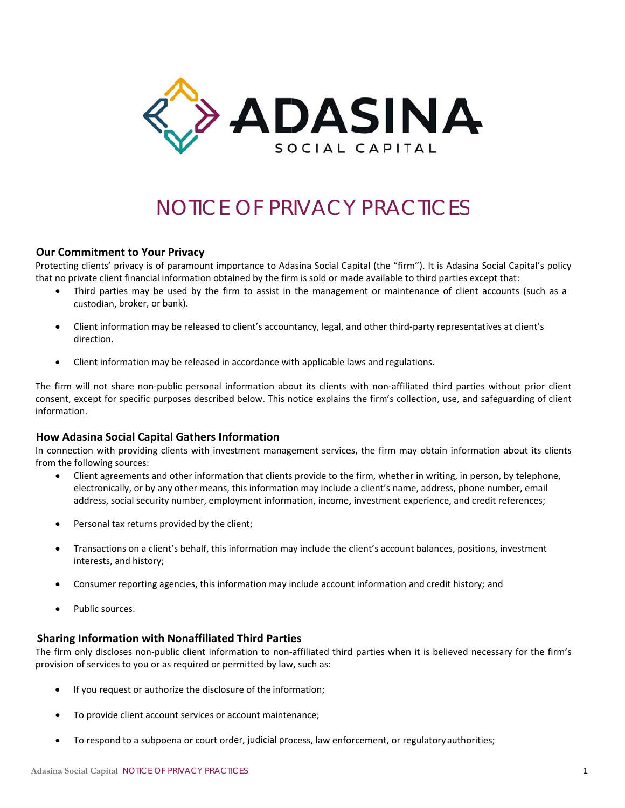

# NOTICE OF PRIVACY PRACTICES

# **Our Commitment to Your Privacy**

Protecting clients' privacy is of paramount importance to Adasina Social Capital (the "firm"). It is Adasina Social Capital's policy that no private client financial information obtained by the firm is sold or made available to third parties except that:

- Third parties may be used by the firm to assist in the management or maintenance of client accounts (such as a custodian, broker, or bank).
- Client information may be released to client's accountancy, legal, and other third-party representatives at client's  $\bullet$ direction.
- $\bullet$ Client information may be released in accordance with applicable laws and regulations.

The firm will not share non-public personal information about its clients with non-affiliated third parties without prior client consent, except for specific purposes described below. This notice explains the firm's collection, use, and safeguarding of client information.

# How Adasina Social Capital Gathers Information

In connection with providing clients with investment management services, the firm may obtain information about its clients from the following sources:

- Client agreements and other information that clients provide to the firm, whether in writing, in person, by telephone, electronically, or by any other means, this information may include a client's name, address, phone number, email address, social security number, employment information, income, investment experience, and credit references;
- Personal tax returns provided by the client;  $\bullet$
- Transactions on a client's behalf, this information may include the client's account balances, positions, investment interests, and history;
- Consumer reporting agencies, this information may include account information and credit history; and
- Public sources.

## **Sharing Information with Nonaffiliated Third Parties**

The firm only discloses non-public client information to non-affiliated third parties when it is believed necessary for the firm's provision of services to you or as required or permitted by law, such as:

- If you request or authorize the disclosure of the information;  $\bullet$
- To provide client account services or account maintenance;  $\bullet$
- To respond to a subpoena or court order, judicial process, law enforcement, or regulatory authorities;